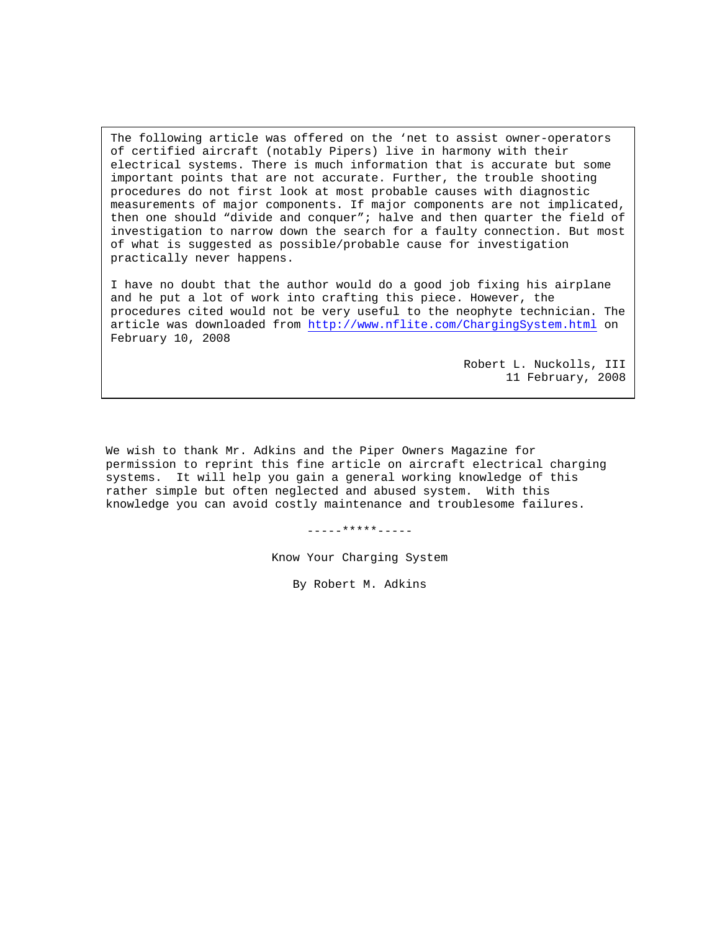The following article was offered on the 'net to assist owner-operators of certified aircraft (notably Pipers) live in harmony with their electrical systems. There is much information that is accurate but some important points that are not accurate. Further, the trouble shooting procedures do not first look at most probable causes with diagnostic measurements of major components. If major components are not implicated, then one should "divide and conquer"; halve and then quarter the field of investigation to narrow down the search for a faulty connection. But most of what is suggested as possible/probable cause for investigation practically never happens.

I have no doubt that the author would do a good job fixing his airplane and he put a lot of work into crafting this piece. However, the procedures cited would not be very useful to the neophyte technician. The article was downloaded from http://www.nflite.com/ChargingSystem.html on February 10, 2008

> Robert L. Nuckolls, III 11 February, 2008

We wish to thank Mr. Adkins and the Piper Owners Magazine for permission to reprint this fine article on aircraft electrical charging systems. It will help you gain a general working knowledge of this rather simple but often neglected and abused system. With this knowledge you can avoid costly maintenance and troublesome failures.

-----\*\*\*\*\*-----

Know Your Charging System

By Robert M. Adkins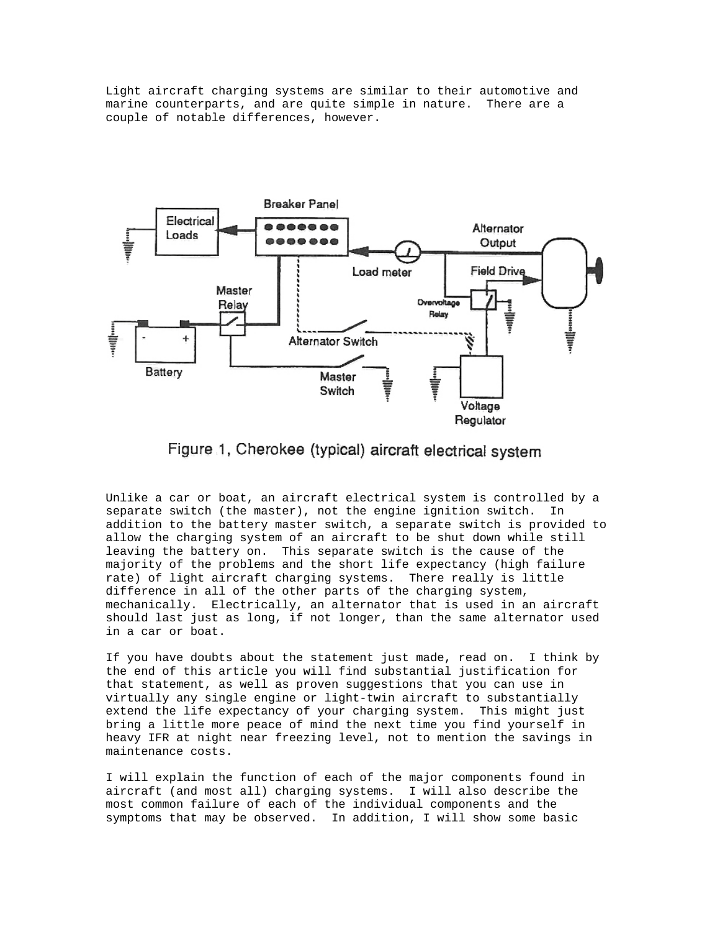Light aircraft charging systems are similar to their automotive and marine counterparts, and are quite simple in nature. There are a couple of notable differences, however.



Figure 1, Cherokee (typical) aircraft electrical system

Unlike a car or boat, an aircraft electrical system is controlled by a separate switch (the master), not the engine ignition switch. In addition to the battery master switch, a separate switch is provided to allow the charging system of an aircraft to be shut down while still leaving the battery on. This separate switch is the cause of the majority of the problems and the short life expectancy (high failure rate) of light aircraft charging systems. There really is little difference in all of the other parts of the charging system, mechanically. Electrically, an alternator that is used in an aircraft should last just as long, if not longer, than the same alternator used in a car or boat.

If you have doubts about the statement just made, read on. I think by the end of this article you will find substantial justification for that statement, as well as proven suggestions that you can use in virtually any single engine or light-twin aircraft to substantially extend the life expectancy of your charging system. This might just bring a little more peace of mind the next time you find yourself in heavy IFR at night near freezing level, not to mention the savings in maintenance costs.

I will explain the function of each of the major components found in aircraft (and most all) charging systems. I will also describe the most common failure of each of the individual components and the symptoms that may be observed. In addition, I will show some basic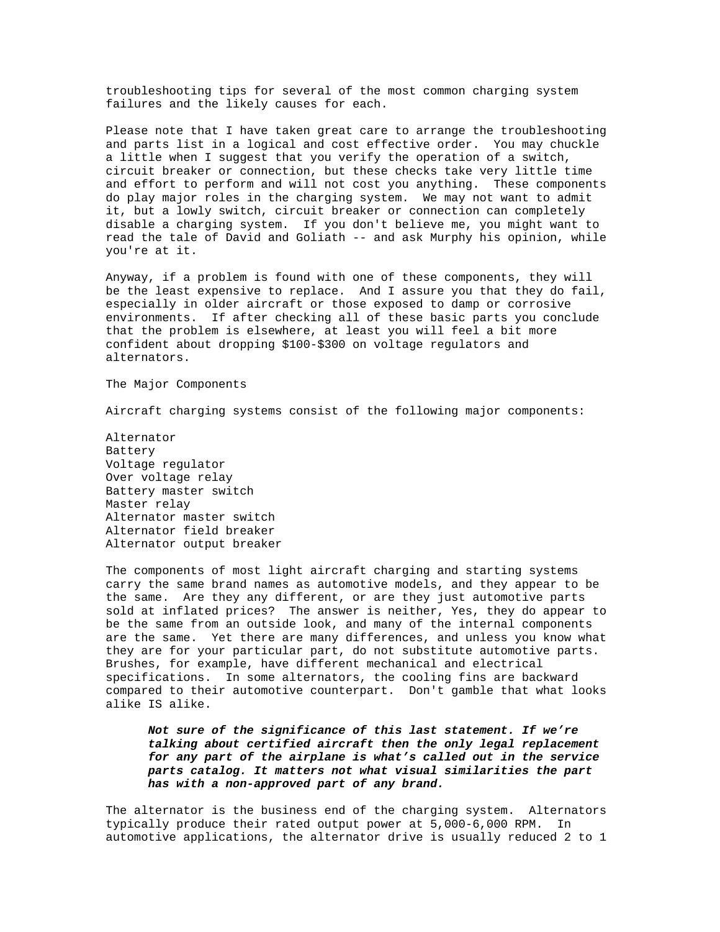troubleshooting tips for several of the most common charging system failures and the likely causes for each.

Please note that I have taken great care to arrange the troubleshooting and parts list in a logical and cost effective order. You may chuckle a little when I suggest that you verify the operation of a switch, circuit breaker or connection, but these checks take very little time and effort to perform and will not cost you anything. These components do play major roles in the charging system. We may not want to admit it, but a lowly switch, circuit breaker or connection can completely disable a charging system. If you don't believe me, you might want to read the tale of David and Goliath -- and ask Murphy his opinion, while you're at it.

Anyway, if a problem is found with one of these components, they will be the least expensive to replace. And I assure you that they do fail, especially in older aircraft or those exposed to damp or corrosive environments. If after checking all of these basic parts you conclude that the problem is elsewhere, at least you will feel a bit more confident about dropping \$100-\$300 on voltage regulators and alternators.

The Major Components

Aircraft charging systems consist of the following major components:

Alternator Battery Voltage regulator Over voltage relay Battery master switch Master relay Alternator master switch Alternator field breaker Alternator output breaker

The components of most light aircraft charging and starting systems carry the same brand names as automotive models, and they appear to be the same. Are they any different, or are they just automotive parts sold at inflated prices? The answer is neither, Yes, they do appear to be the same from an outside look, and many of the internal components are the same. Yet there are many differences, and unless you know what they are for your particular part, do not substitute automotive parts. Brushes, for example, have different mechanical and electrical specifications. In some alternators, the cooling fins are backward compared to their automotive counterpart. Don't gamble that what looks alike IS alike.

*Not sure of the significance of this last statement. If we're talking about certified aircraft then the only legal replacement for any part of the airplane is what's called out in the service parts catalog. It matters not what visual similarities the part has with a non-approved part of any brand.*

The alternator is the business end of the charging system. Alternators typically produce their rated output power at 5,000-6,000 RPM. In automotive applications, the alternator drive is usually reduced 2 to 1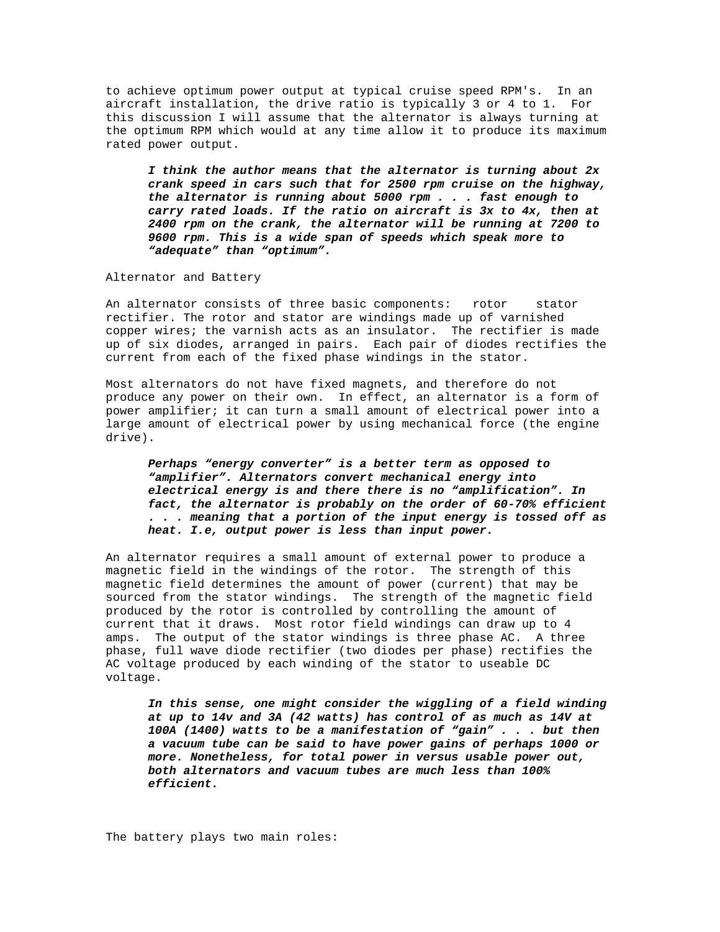to achieve optimum power output at typical cruise speed RPM's. In an aircraft installation, the drive ratio is typically 3 or 4 to 1. For this discussion I will assume that the alternator is always turning at the optimum RPM which would at any time allow it to produce its maximum rated power output.

*I think the author means that the alternator is turning about 2x crank speed in cars such that for 2500 rpm cruise on the highway, the alternator is running about 5000 rpm . . . fast enough to carry rated loads. If the ratio on aircraft is 3x to 4x, then at 2400 rpm on the crank, the alternator will be running at 7200 to 9600 rpm. This is a wide span of speeds which speak more to "adequate" than "optimum".*

Alternator and Battery

An alternator consists of three basic components: rotor stator rectifier. The rotor and stator are windings made up of varnished copper wires; the varnish acts as an insulator. The rectifier is made up of six diodes, arranged in pairs. Each pair of diodes rectifies the current from each of the fixed phase windings in the stator.

Most alternators do not have fixed magnets, and therefore do not produce any power on their own. In effect, an alternator is a form of power amplifier; it can turn a small amount of electrical power into a large amount of electrical power by using mechanical force (the engine drive).

*Perhaps "energy converter" is a better term as opposed to "amplifier". Alternators convert mechanical energy into electrical energy is and there there is no "amplification". In fact, the alternator is probably on the order of 60-70% efficient . . . meaning that a portion of the input energy is tossed off as heat. I.e, output power is less than input power.*

An alternator requires a small amount of external power to produce a magnetic field in the windings of the rotor. The strength of this magnetic field determines the amount of power (current) that may be sourced from the stator windings. The strength of the magnetic field produced by the rotor is controlled by controlling the amount of current that it draws. Most rotor field windings can draw up to 4 amps. The output of the stator windings is three phase AC. A three phase, full wave diode rectifier (two diodes per phase) rectifies the AC voltage produced by each winding of the stator to useable DC voltage.

*In this sense, one might consider the wiggling of a field winding at up to 14v and 3A (42 watts) has control of as much as 14V at 100A (1400) watts to be a manifestation of "gain" . . . but then a vacuum tube can be said to have power gains of perhaps 1000 or more. Nonetheless, for total power in versus usable power out, both alternators and vacuum tubes are much less than 100% efficient.*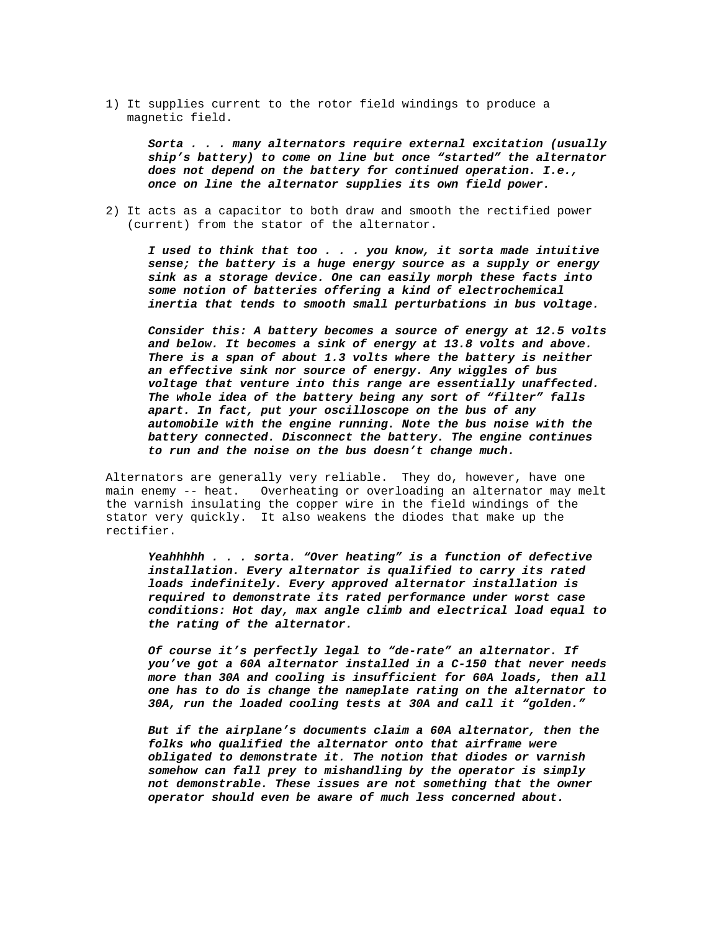1) It supplies current to the rotor field windings to produce a magnetic field.

*Sorta . . . many alternators require external excitation (usually ship's battery) to come on line but once "started" the alternator does not depend on the battery for continued operation. I.e., once on line the alternator supplies its own field power.*

2) It acts as a capacitor to both draw and smooth the rectified power (current) from the stator of the alternator.

*I used to think that too . . . you know, it sorta made intuitive sense; the battery is a huge energy source as a supply or energy sink as a storage device. One can easily morph these facts into some notion of batteries offering a kind of electrochemical inertia that tends to smooth small perturbations in bus voltage.*

*Consider this: A battery becomes a source of energy at 12.5 volts and below. It becomes a sink of energy at 13.8 volts and above. There is a span of about 1.3 volts where the battery is neither an effective sink nor source of energy. Any wiggles of bus voltage that venture into this range are essentially unaffected. The whole idea of the battery being any sort of "filter" falls apart. In fact, put your oscilloscope on the bus of any automobile with the engine running. Note the bus noise with the battery connected. Disconnect the battery. The engine continues to run and the noise on the bus doesn't change much.*

Alternators are generally very reliable. They do, however, have one main enemy -- heat. Overheating or overloading an alternator may melt the varnish insulating the copper wire in the field windings of the stator very quickly. It also weakens the diodes that make up the rectifier.

*Yeahhhhh . . . sorta. "Over heating" is a function of defective installation. Every alternator is qualified to carry its rated loads indefinitely. Every approved alternator installation is required to demonstrate its rated performance under worst case conditions: Hot day, max angle climb and electrical load equal to the rating of the alternator.*

*Of course it's perfectly legal to "de-rate" an alternator. If you've got a 60A alternator installed in a C-150 that never needs more than 30A and cooling is insufficient for 60A loads, then all one has to do is change the nameplate rating on the alternator to 30A, run the loaded cooling tests at 30A and call it "golden."*

*But if the airplane's documents claim a 60A alternator, then the folks who qualified the alternator onto that airframe were obligated to demonstrate it. The notion that diodes or varnish somehow can fall prey to mishandling by the operator is simply not demonstrable. These issues are not something that the owner operator should even be aware of much less concerned about.*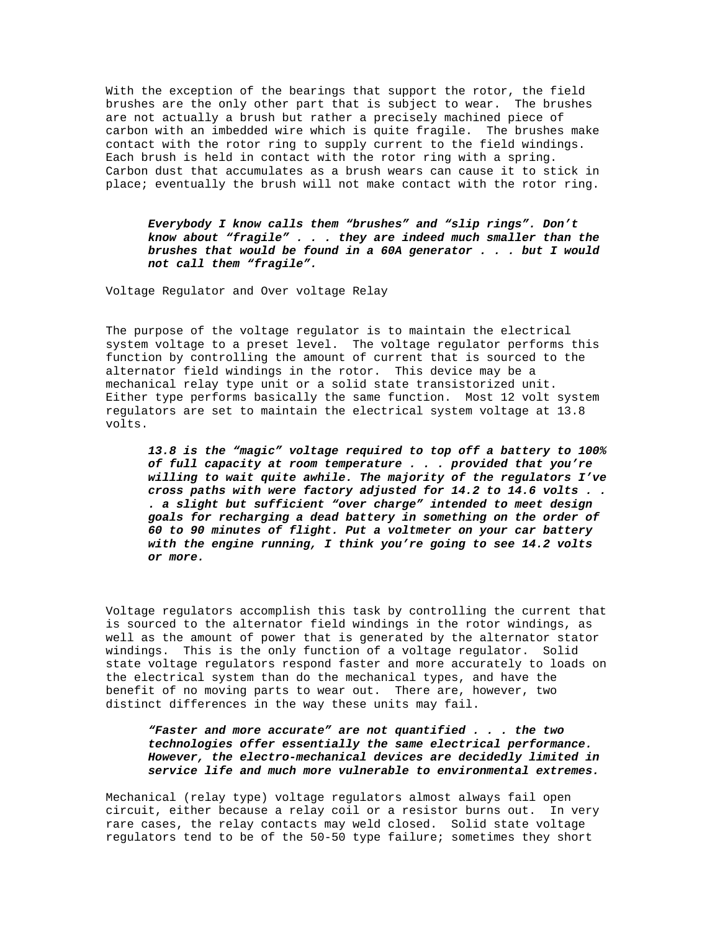With the exception of the bearings that support the rotor, the field brushes are the only other part that is subject to wear. The brushes are not actually a brush but rather a precisely machined piece of carbon with an imbedded wire which is quite fragile. The brushes make contact with the rotor ring to supply current to the field windings. Each brush is held in contact with the rotor ring with a spring. Carbon dust that accumulates as a brush wears can cause it to stick in place; eventually the brush will not make contact with the rotor ring.

*Everybody I know calls them "brushes" and "slip rings". Don't know about "fragile" . . . they are indeed much smaller than the brushes that would be found in a 60A generator . . . but I would not call them "fragile".*

Voltage Regulator and Over voltage Relay

The purpose of the voltage regulator is to maintain the electrical system voltage to a preset level. The voltage regulator performs this function by controlling the amount of current that is sourced to the alternator field windings in the rotor. This device may be a mechanical relay type unit or a solid state transistorized unit. Either type performs basically the same function. Most 12 volt system regulators are set to maintain the electrical system voltage at 13.8 volts.

*13.8 is the "magic" voltage required to top off a battery to 100% of full capacity at room temperature . . . provided that you're willing to wait quite awhile. The majority of the regulators I've cross paths with were factory adjusted for 14.2 to 14.6 volts . . . a slight but sufficient "over charge" intended to meet design goals for recharging a dead battery in something on the order of 60 to 90 minutes of flight. Put a voltmeter on your car battery with the engine running, I think you're going to see 14.2 volts or more.*

Voltage regulators accomplish this task by controlling the current that is sourced to the alternator field windings in the rotor windings, as well as the amount of power that is generated by the alternator stator windings. This is the only function of a voltage regulator. Solid state voltage regulators respond faster and more accurately to loads on the electrical system than do the mechanical types, and have the benefit of no moving parts to wear out. There are, however, two distinct differences in the way these units may fail.

## *"Faster and more accurate" are not quantified . . . the two technologies offer essentially the same electrical performance. However, the electro-mechanical devices are decidedly limited in service life and much more vulnerable to environmental extremes.*

Mechanical (relay type) voltage regulators almost always fail open circuit, either because a relay coil or a resistor burns out. In very rare cases, the relay contacts may weld closed. Solid state voltage regulators tend to be of the 50-50 type failure; sometimes they short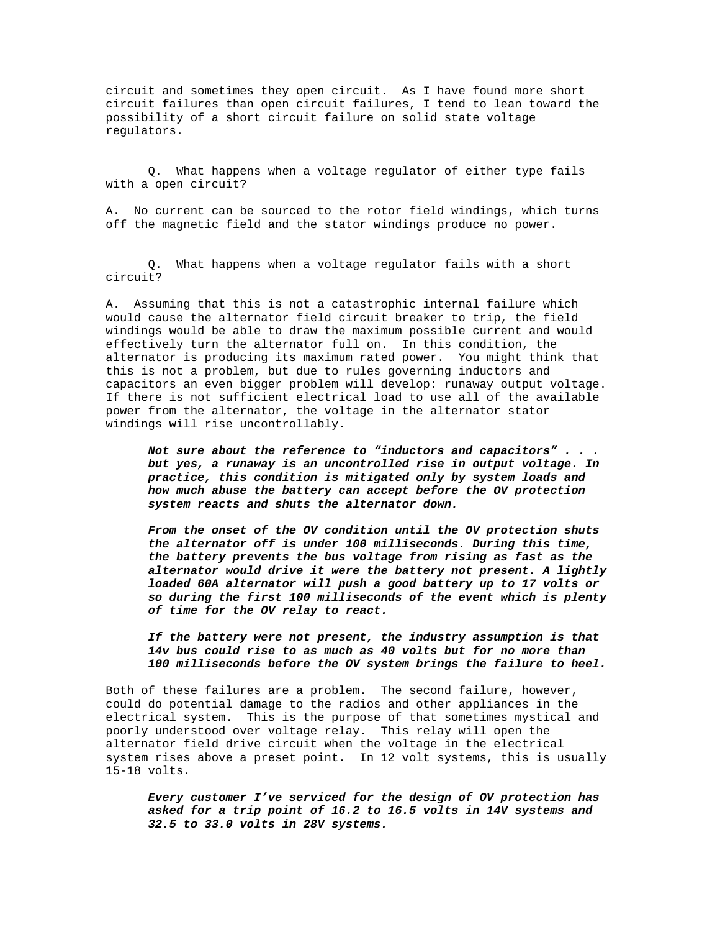circuit and sometimes they open circuit. As I have found more short circuit failures than open circuit failures, I tend to lean toward the possibility of a short circuit failure on solid state voltage regulators.

Q. What happens when a voltage regulator of either type fails with a open circuit?

A. No current can be sourced to the rotor field windings, which turns off the magnetic field and the stator windings produce no power.

 Q. What happens when a voltage regulator fails with a short circuit?

A. Assuming that this is not a catastrophic internal failure which would cause the alternator field circuit breaker to trip, the field windings would be able to draw the maximum possible current and would effectively turn the alternator full on. In this condition, the alternator is producing its maximum rated power. You might think that this is not a problem, but due to rules governing inductors and capacitors an even bigger problem will develop: runaway output voltage. If there is not sufficient electrical load to use all of the available power from the alternator, the voltage in the alternator stator windings will rise uncontrollably.

*Not sure about the reference to "inductors and capacitors" . . . but yes, a runaway is an uncontrolled rise in output voltage. In practice, this condition is mitigated only by system loads and how much abuse the battery can accept before the OV protection system reacts and shuts the alternator down.*

*From the onset of the OV condition until the OV protection shuts the alternator off is under 100 milliseconds. During this time, the battery prevents the bus voltage from rising as fast as the alternator would drive it were the battery not present. A lightly loaded 60A alternator will push a good battery up to 17 volts or so during the first 100 milliseconds of the event which is plenty of time for the OV relay to react.*

*If the battery were not present, the industry assumption is that 14v bus could rise to as much as 40 volts but for no more than 100 milliseconds before the OV system brings the failure to heel.*

Both of these failures are a problem. The second failure, however, could do potential damage to the radios and other appliances in the electrical system. This is the purpose of that sometimes mystical and poorly understood over voltage relay. This relay will open the alternator field drive circuit when the voltage in the electrical system rises above a preset point. In 12 volt systems, this is usually 15-18 volts.

*Every customer I've serviced for the design of OV protection has asked for a trip point of 16.2 to 16.5 volts in 14V systems and 32.5 to 33.0 volts in 28V systems.*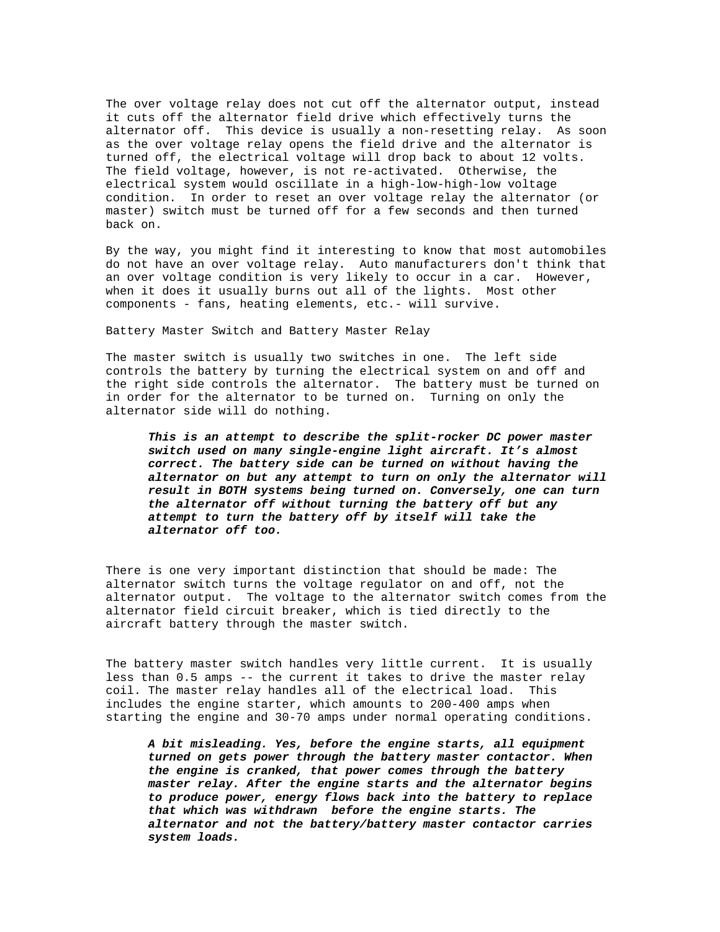The over voltage relay does not cut off the alternator output, instead it cuts off the alternator field drive which effectively turns the alternator off. This device is usually a non-resetting relay. As soon as the over voltage relay opens the field drive and the alternator is turned off, the electrical voltage will drop back to about 12 volts. The field voltage, however, is not re-activated. Otherwise, the electrical system would oscillate in a high-low-high-low voltage condition. In order to reset an over voltage relay the alternator (or master) switch must be turned off for a few seconds and then turned back on.

By the way, you might find it interesting to know that most automobiles do not have an over voltage relay. Auto manufacturers don't think that an over voltage condition is very likely to occur in a car. However, when it does it usually burns out all of the lights. Most other components - fans, heating elements, etc.- will survive.

Battery Master Switch and Battery Master Relay

The master switch is usually two switches in one. The left side controls the battery by turning the electrical system on and off and the right side controls the alternator. The battery must be turned on in order for the alternator to be turned on. Turning on only the alternator side will do nothing.

*This is an attempt to describe the split-rocker DC power master switch used on many single-engine light aircraft. It's almost correct. The battery side can be turned on without having the alternator on but any attempt to turn on only the alternator will result in BOTH systems being turned on. Conversely, one can turn the alternator off without turning the battery off but any attempt to turn the battery off by itself will take the alternator off too.*

There is one very important distinction that should be made: The alternator switch turns the voltage regulator on and off, not the alternator output. The voltage to the alternator switch comes from the alternator field circuit breaker, which is tied directly to the aircraft battery through the master switch.

The battery master switch handles very little current. It is usually less than 0.5 amps -- the current it takes to drive the master relay coil. The master relay handles all of the electrical load. This includes the engine starter, which amounts to 200-400 amps when starting the engine and 30-70 amps under normal operating conditions.

*A bit misleading. Yes, before the engine starts, all equipment turned on gets power through the battery master contactor. When the engine is cranked, that power comes through the battery master relay. After the engine starts and the alternator begins to produce power, energy flows back into the battery to replace that which was withdrawn before the engine starts. The alternator and not the battery/battery master contactor carries system loads.*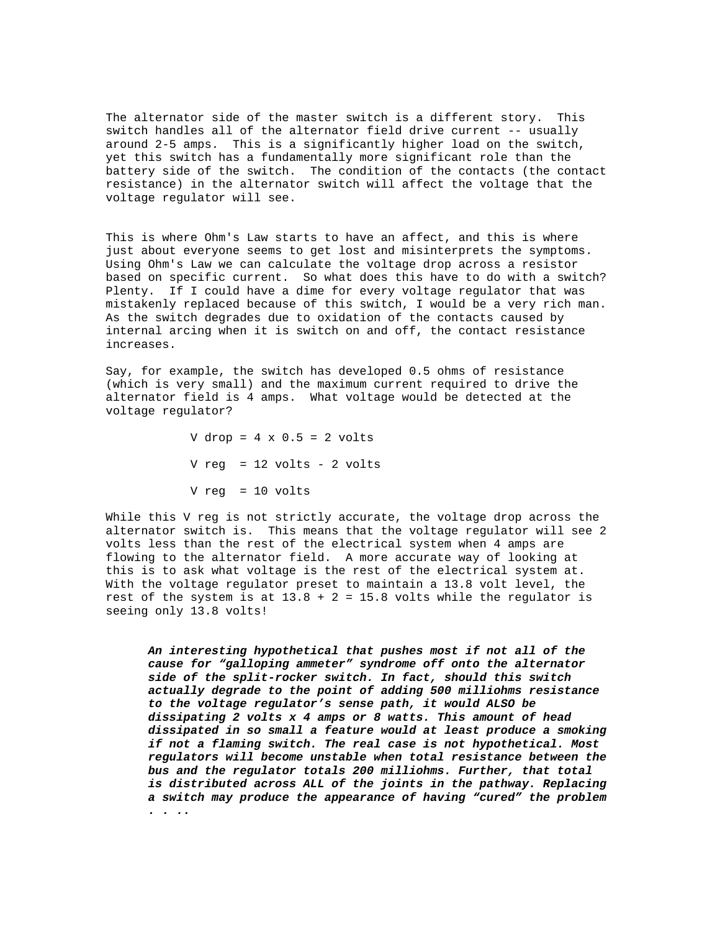The alternator side of the master switch is a different story. This switch handles all of the alternator field drive current -- usually around 2-5 amps. This is a significantly higher load on the switch, yet this switch has a fundamentally more significant role than the battery side of the switch. The condition of the contacts (the contact resistance) in the alternator switch will affect the voltage that the voltage regulator will see.

This is where Ohm's Law starts to have an affect, and this is where just about everyone seems to get lost and misinterprets the symptoms. Using Ohm's Law we can calculate the voltage drop across a resistor based on specific current. So what does this have to do with a switch? Plenty. If I could have a dime for every voltage regulator that was mistakenly replaced because of this switch, I would be a very rich man. As the switch degrades due to oxidation of the contacts caused by internal arcing when it is switch on and off, the contact resistance increases.

Say, for example, the switch has developed 0.5 ohms of resistance (which is very small) and the maximum current required to drive the alternator field is 4 amps. What voltage would be detected at the voltage regulator?

> V drop =  $4 \times 0.5 = 2$  volts V reg = 12 volts - 2 volts V reg = 10 volts

While this V reg is not strictly accurate, the voltage drop across the alternator switch is. This means that the voltage regulator will see 2 volts less than the rest of the electrical system when 4 amps are flowing to the alternator field. A more accurate way of looking at this is to ask what voltage is the rest of the electrical system at. With the voltage regulator preset to maintain a 13.8 volt level, the rest of the system is at  $13.8 + 2 = 15.8$  volts while the regulator is seeing only 13.8 volts!

*An interesting hypothetical that pushes most if not all of the cause for "galloping ammeter" syndrome off onto the alternator side of the split-rocker switch. In fact, should this switch actually degrade to the point of adding 500 milliohms resistance to the voltage regulator's sense path, it would ALSO be dissipating 2 volts x 4 amps or 8 watts. This amount of head dissipated in so small a feature would at least produce a smoking if not a flaming switch. The real case is not hypothetical. Most regulators will become unstable when total resistance between the bus and the regulator totals 200 milliohms. Further, that total is distributed across ALL of the joints in the pathway. Replacing a switch may produce the appearance of having "cured" the problem . . ..*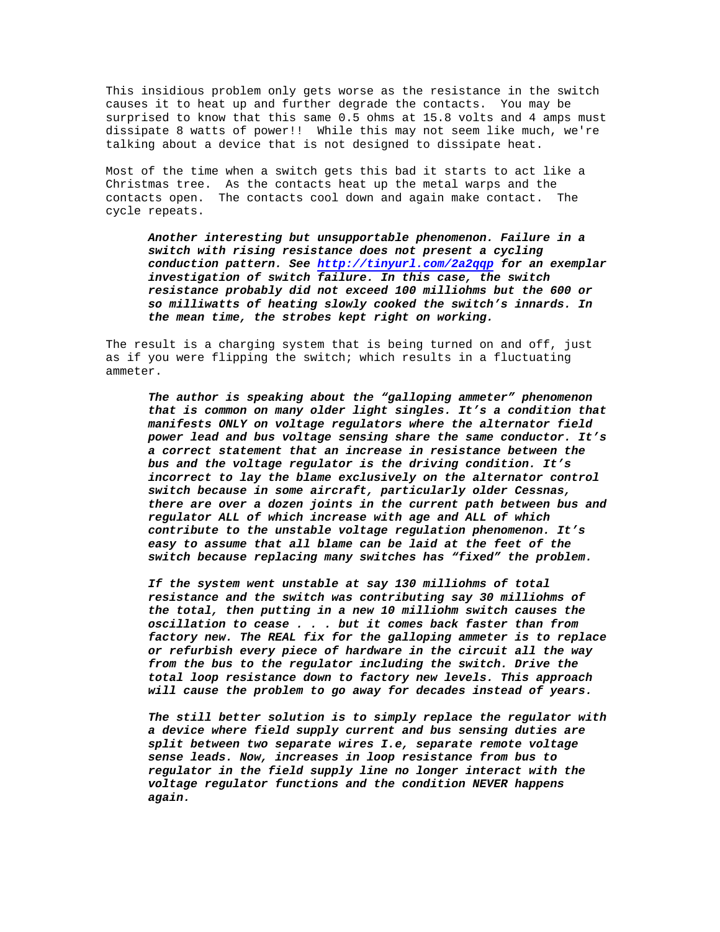This insidious problem only gets worse as the resistance in the switch causes it to heat up and further degrade the contacts. You may be surprised to know that this same 0.5 ohms at 15.8 volts and 4 amps must dissipate 8 watts of power!! While this may not seem like much, we're talking about a device that is not designed to dissipate heat.

Most of the time when a switch gets this bad it starts to act like a Christmas tree. As the contacts heat up the metal warps and the contacts open. The contacts cool down and again make contact. The cycle repeats.

*Another interesting but unsupportable phenomenon. Failure in a switch with rising resistance does not present a cycling conduction pattern. See http://tinyurl.com/2a2qqp for an exemplar investigation of switch failure. In this case, the switch resistance probably did not exceed 100 milliohms but the 600 or so milliwatts of heating slowly cooked the switch's innards. In the mean time, the strobes kept right on working.*

The result is a charging system that is being turned on and off, just as if you were flipping the switch; which results in a fluctuating ammeter.

*The author is speaking about the "galloping ammeter" phenomenon that is common on many older light singles. It's a condition that manifests ONLY on voltage regulators where the alternator field power lead and bus voltage sensing share the same conductor. It's a correct statement that an increase in resistance between the bus and the voltage regulator is the driving condition. It's incorrect to lay the blame exclusively on the alternator control switch because in some aircraft, particularly older Cessnas, there are over a dozen joints in the current path between bus and regulator ALL of which increase with age and ALL of which contribute to the unstable voltage regulation phenomenon. It's easy to assume that all blame can be laid at the feet of the switch because replacing many switches has "fixed" the problem.*

*If the system went unstable at say 130 milliohms of total resistance and the switch was contributing say 30 milliohms of the total, then putting in a new 10 milliohm switch causes the oscillation to cease . . . but it comes back faster than from factory new. The REAL fix for the galloping ammeter is to replace or refurbish every piece of hardware in the circuit all the way from the bus to the regulator including the switch. Drive the total loop resistance down to factory new levels. This approach will cause the problem to go away for decades instead of years.*

*The still better solution is to simply replace the regulator with a device where field supply current and bus sensing duties are split between two separate wires I.e, separate remote voltage sense leads. Now, increases in loop resistance from bus to regulator in the field supply line no longer interact with the voltage regulator functions and the condition NEVER happens again.*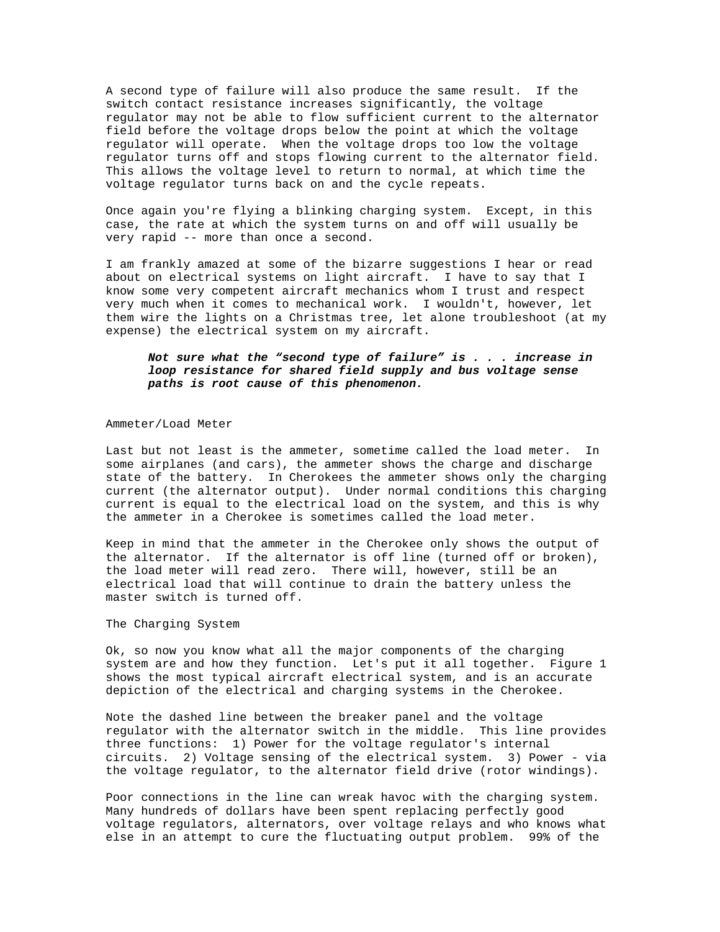A second type of failure will also produce the same result. If the switch contact resistance increases significantly, the voltage regulator may not be able to flow sufficient current to the alternator field before the voltage drops below the point at which the voltage regulator will operate. When the voltage drops too low the voltage regulator turns off and stops flowing current to the alternator field. This allows the voltage level to return to normal, at which time the voltage regulator turns back on and the cycle repeats.

Once again you're flying a blinking charging system. Except, in this case, the rate at which the system turns on and off will usually be very rapid -- more than once a second.

I am frankly amazed at some of the bizarre suggestions I hear or read about on electrical systems on light aircraft. I have to say that I know some very competent aircraft mechanics whom I trust and respect very much when it comes to mechanical work. I wouldn't, however, let them wire the lights on a Christmas tree, let alone troubleshoot (at my expense) the electrical system on my aircraft.

## *Not sure what the "second type of failure" is . . . increase in loop resistance for shared field supply and bus voltage sense paths is root cause of this phenomenon.*

#### Ammeter/Load Meter

Last but not least is the ammeter, sometime called the load meter. In some airplanes (and cars), the ammeter shows the charge and discharge state of the battery. In Cherokees the ammeter shows only the charging current (the alternator output). Under normal conditions this charging current is equal to the electrical load on the system, and this is why the ammeter in a Cherokee is sometimes called the load meter.

Keep in mind that the ammeter in the Cherokee only shows the output of the alternator. If the alternator is off line (turned off or broken), the load meter will read zero. There will, however, still be an electrical load that will continue to drain the battery unless the master switch is turned off.

#### The Charging System

Ok, so now you know what all the major components of the charging system are and how they function. Let's put it all together. Figure 1 shows the most typical aircraft electrical system, and is an accurate depiction of the electrical and charging systems in the Cherokee.

Note the dashed line between the breaker panel and the voltage regulator with the alternator switch in the middle. This line provides three functions: 1) Power for the voltage regulator's internal circuits. 2) Voltage sensing of the electrical system. 3) Power - via the voltage regulator, to the alternator field drive (rotor windings).

Poor connections in the line can wreak havoc with the charging system. Many hundreds of dollars have been spent replacing perfectly good voltage regulators, alternators, over voltage relays and who knows what else in an attempt to cure the fluctuating output problem. 99% of the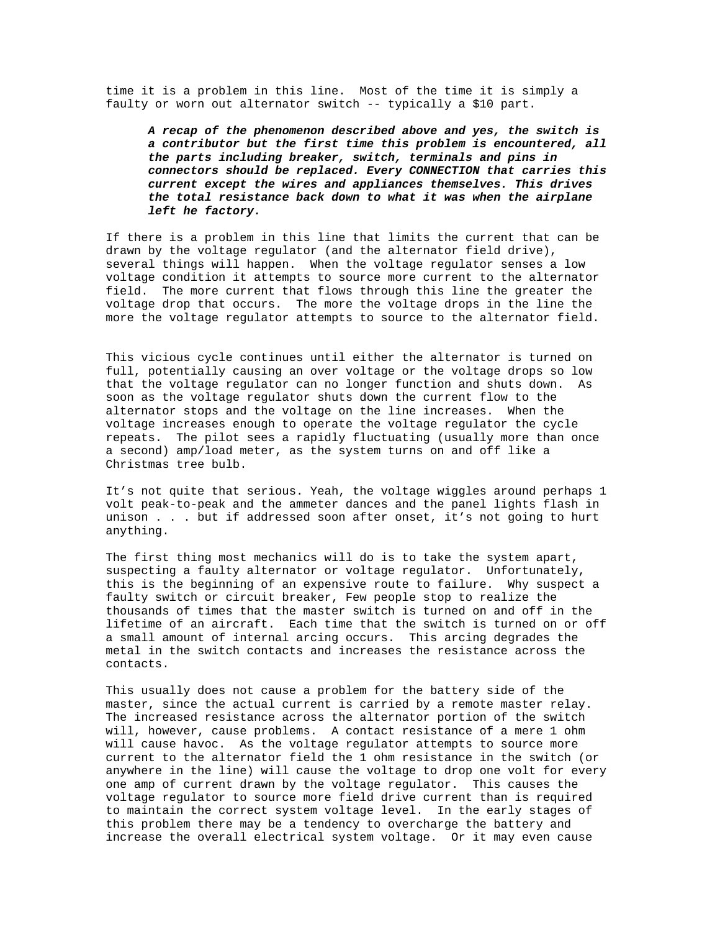time it is a problem in this line. Most of the time it is simply a faulty or worn out alternator switch -- typically a \$10 part.

*A recap of the phenomenon described above and yes, the switch is a contributor but the first time this problem is encountered, all the parts including breaker, switch, terminals and pins in connectors should be replaced. Every CONNECTION that carries this current except the wires and appliances themselves. This drives the total resistance back down to what it was when the airplane left he factory.*

If there is a problem in this line that limits the current that can be drawn by the voltage regulator (and the alternator field drive), several things will happen. When the voltage regulator senses a low voltage condition it attempts to source more current to the alternator field. The more current that flows through this line the greater the voltage drop that occurs. The more the voltage drops in the line the more the voltage regulator attempts to source to the alternator field.

This vicious cycle continues until either the alternator is turned on full, potentially causing an over voltage or the voltage drops so low that the voltage regulator can no longer function and shuts down. As soon as the voltage regulator shuts down the current flow to the alternator stops and the voltage on the line increases. When the voltage increases enough to operate the voltage regulator the cycle repeats. The pilot sees a rapidly fluctuating (usually more than once a second) amp/load meter, as the system turns on and off like a Christmas tree bulb.

It's not quite that serious. Yeah, the voltage wiggles around perhaps 1 volt peak-to-peak and the ammeter dances and the panel lights flash in unison . . . but if addressed soon after onset, it's not going to hurt anything.

The first thing most mechanics will do is to take the system apart, suspecting a faulty alternator or voltage regulator. Unfortunately, this is the beginning of an expensive route to failure. Why suspect a faulty switch or circuit breaker, Few people stop to realize the thousands of times that the master switch is turned on and off in the lifetime of an aircraft. Each time that the switch is turned on or off a small amount of internal arcing occurs. This arcing degrades the metal in the switch contacts and increases the resistance across the contacts.

This usually does not cause a problem for the battery side of the master, since the actual current is carried by a remote master relay. The increased resistance across the alternator portion of the switch will, however, cause problems. A contact resistance of a mere 1 ohm will cause havoc. As the voltage regulator attempts to source more current to the alternator field the 1 ohm resistance in the switch (or anywhere in the line) will cause the voltage to drop one volt for every one amp of current drawn by the voltage regulator. This causes the voltage regulator to source more field drive current than is required to maintain the correct system voltage level. In the early stages of this problem there may be a tendency to overcharge the battery and increase the overall electrical system voltage. Or it may even cause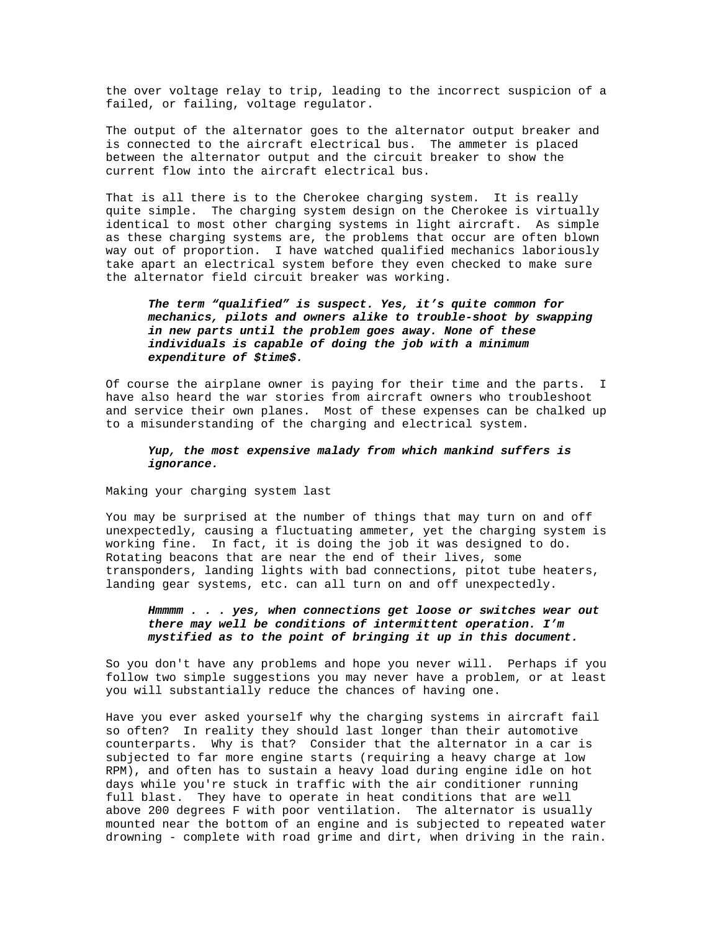the over voltage relay to trip, leading to the incorrect suspicion of a failed, or failing, voltage regulator.

The output of the alternator goes to the alternator output breaker and is connected to the aircraft electrical bus. The ammeter is placed between the alternator output and the circuit breaker to show the current flow into the aircraft electrical bus.

That is all there is to the Cherokee charging system. It is really quite simple. The charging system design on the Cherokee is virtually identical to most other charging systems in light aircraft. As simple as these charging systems are, the problems that occur are often blown way out of proportion. I have watched qualified mechanics laboriously take apart an electrical system before they even checked to make sure the alternator field circuit breaker was working.

# *The term "qualified" is suspect. Yes, it's quite common for mechanics, pilots and owners alike to trouble-shoot by swapping in new parts until the problem goes away. None of these individuals is capable of doing the job with a minimum expenditure of \$time\$.*

Of course the airplane owner is paying for their time and the parts. I have also heard the war stories from aircraft owners who troubleshoot and service their own planes. Most of these expenses can be chalked up to a misunderstanding of the charging and electrical system.

### *Yup, the most expensive malady from which mankind suffers is ignorance.*

Making your charging system last

You may be surprised at the number of things that may turn on and off unexpectedly, causing a fluctuating ammeter, yet the charging system is working fine. In fact, it is doing the job it was designed to do. Rotating beacons that are near the end of their lives, some transponders, landing lights with bad connections, pitot tube heaters, landing gear systems, etc. can all turn on and off unexpectedly.

### *Hmmmm . . . yes, when connections get loose or switches wear out there may well be conditions of intermittent operation. I'm mystified as to the point of bringing it up in this document.*

So you don't have any problems and hope you never will. Perhaps if you follow two simple suggestions you may never have a problem, or at least you will substantially reduce the chances of having one.

Have you ever asked yourself why the charging systems in aircraft fail so often? In reality they should last longer than their automotive counterparts. Why is that? Consider that the alternator in a car is subjected to far more engine starts (requiring a heavy charge at low RPM), and often has to sustain a heavy load during engine idle on hot days while you're stuck in traffic with the air conditioner running full blast. They have to operate in heat conditions that are well above 200 degrees F with poor ventilation. The alternator is usually mounted near the bottom of an engine and is subjected to repeated water drowning - complete with road grime and dirt, when driving in the rain.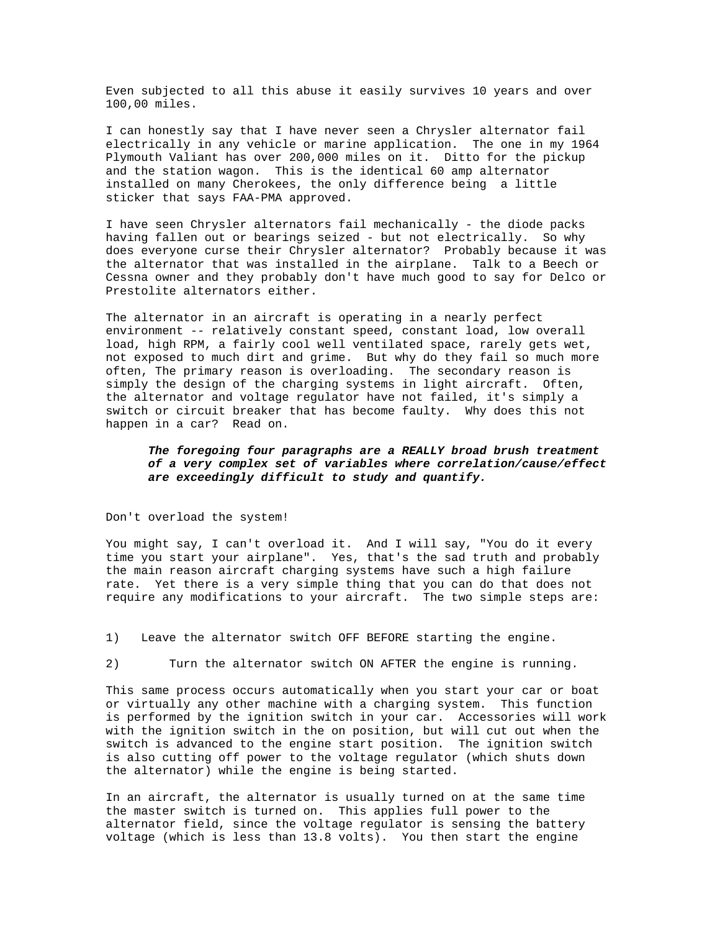Even subjected to all this abuse it easily survives 10 years and over 100,00 miles.

I can honestly say that I have never seen a Chrysler alternator fail electrically in any vehicle or marine application. The one in my 1964 Plymouth Valiant has over 200,000 miles on it. Ditto for the pickup and the station wagon. This is the identical 60 amp alternator installed on many Cherokees, the only difference being a little sticker that says FAA-PMA approved.

I have seen Chrysler alternators fail mechanically - the diode packs having fallen out or bearings seized - but not electrically. So why does everyone curse their Chrysler alternator? Probably because it was the alternator that was installed in the airplane. Talk to a Beech or Cessna owner and they probably don't have much good to say for Delco or Prestolite alternators either.

The alternator in an aircraft is operating in a nearly perfect environment -- relatively constant speed, constant load, low overall load, high RPM, a fairly cool well ventilated space, rarely gets wet, not exposed to much dirt and grime. But why do they fail so much more often, The primary reason is overloading. The secondary reason is simply the design of the charging systems in light aircraft. Often, the alternator and voltage regulator have not failed, it's simply a switch or circuit breaker that has become faulty. Why does this not happen in a car? Read on.

# *The foregoing four paragraphs are a REALLY broad brush treatment of a very complex set of variables where correlation/cause/effect are exceedingly difficult to study and quantify.*

Don't overload the system!

You might say, I can't overload it. And I will say, "You do it every time you start your airplane". Yes, that's the sad truth and probably the main reason aircraft charging systems have such a high failure rate. Yet there is a very simple thing that you can do that does not require any modifications to your aircraft. The two simple steps are:

1) Leave the alternator switch OFF BEFORE starting the engine.

2) Turn the alternator switch ON AFTER the engine is running.

This same process occurs automatically when you start your car or boat or virtually any other machine with a charging system. This function is performed by the ignition switch in your car. Accessories will work with the ignition switch in the on position, but will cut out when the switch is advanced to the engine start position. The ignition switch is also cutting off power to the voltage regulator (which shuts down the alternator) while the engine is being started.

In an aircraft, the alternator is usually turned on at the same time the master switch is turned on. This applies full power to the alternator field, since the voltage regulator is sensing the battery voltage (which is less than 13.8 volts). You then start the engine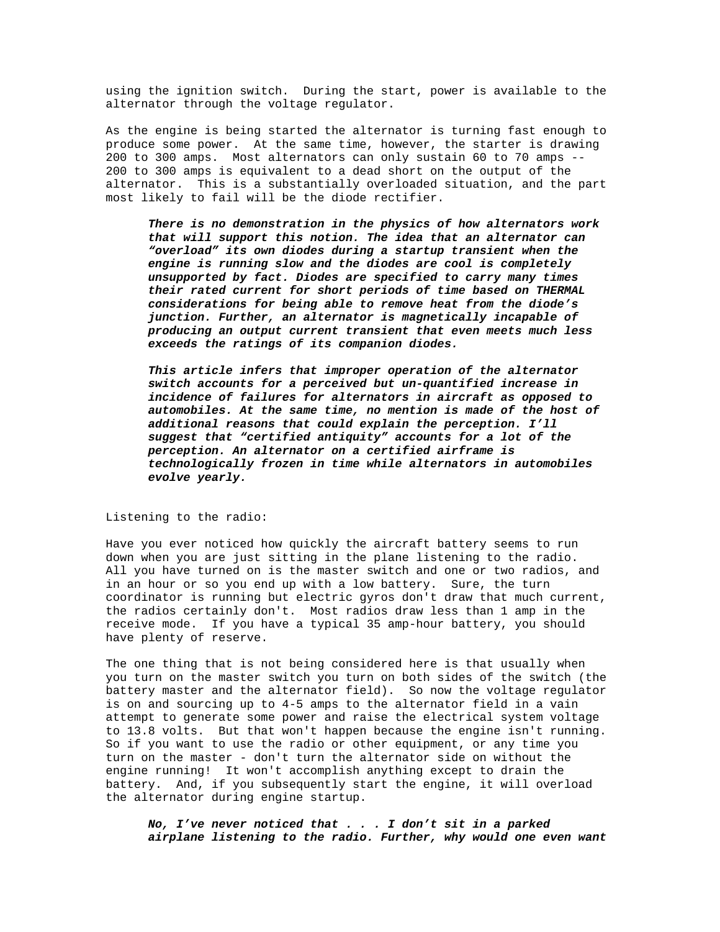using the ignition switch. During the start, power is available to the alternator through the voltage regulator.

As the engine is being started the alternator is turning fast enough to produce some power. At the same time, however, the starter is drawing 200 to 300 amps. Most alternators can only sustain 60 to 70 amps -- 200 to 300 amps is equivalent to a dead short on the output of the alternator. This is a substantially overloaded situation, and the part most likely to fail will be the diode rectifier.

*There is no demonstration in the physics of how alternators work that will support this notion. The idea that an alternator can "overload" its own diodes during a startup transient when the engine is running slow and the diodes are cool is completely unsupported by fact. Diodes are specified to carry many times their rated current for short periods of time based on THERMAL considerations for being able to remove heat from the diode's junction. Further, an alternator is magnetically incapable of producing an output current transient that even meets much less exceeds the ratings of its companion diodes.*

*This article infers that improper operation of the alternator switch accounts for a perceived but un-quantified increase in incidence of failures for alternators in aircraft as opposed to automobiles. At the same time, no mention is made of the host of additional reasons that could explain the perception. I'll suggest that "certified antiquity" accounts for a lot of the perception. An alternator on a certified airframe is technologically frozen in time while alternators in automobiles evolve yearly.*

Listening to the radio:

Have you ever noticed how quickly the aircraft battery seems to run down when you are just sitting in the plane listening to the radio. All you have turned on is the master switch and one or two radios, and in an hour or so you end up with a low battery. Sure, the turn coordinator is running but electric gyros don't draw that much current, the radios certainly don't. Most radios draw less than 1 amp in the receive mode. If you have a typical 35 amp-hour battery, you should have plenty of reserve.

The one thing that is not being considered here is that usually when you turn on the master switch you turn on both sides of the switch (the battery master and the alternator field). So now the voltage regulator is on and sourcing up to 4-5 amps to the alternator field in a vain attempt to generate some power and raise the electrical system voltage to 13.8 volts. But that won't happen because the engine isn't running. So if you want to use the radio or other equipment, or any time you turn on the master - don't turn the alternator side on without the engine running! It won't accomplish anything except to drain the battery. And, if you subsequently start the engine, it will overload the alternator during engine startup.

*No, I've never noticed that . . . I don't sit in a parked airplane listening to the radio. Further, why would one even want*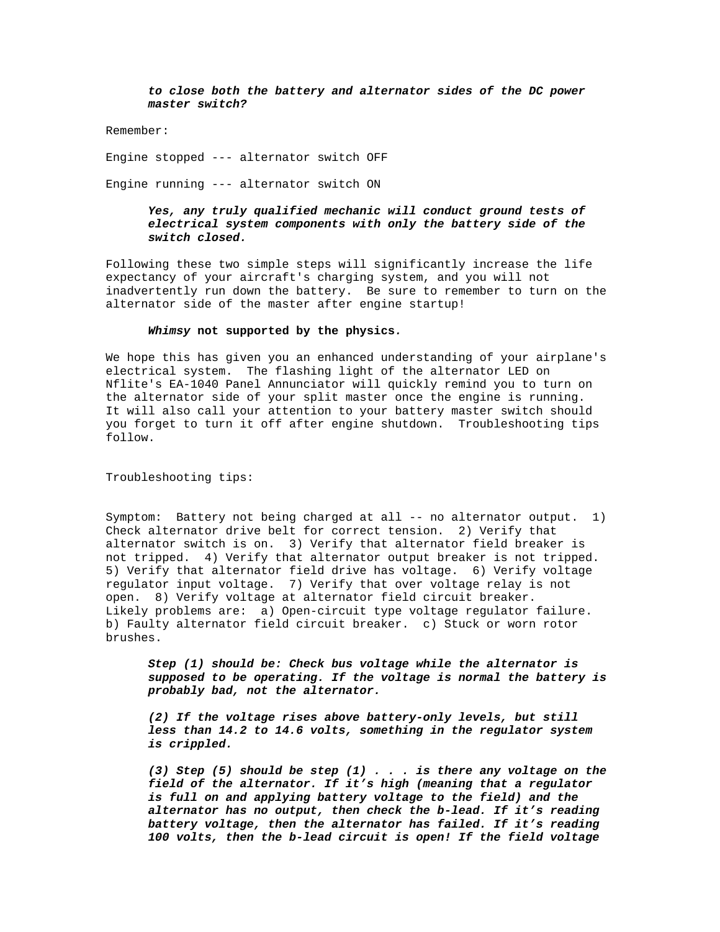*to close both the battery and alternator sides of the DC power master switch?*

Remember:

Engine stopped --- alternator switch OFF

Engine running --- alternator switch ON

## *Yes, any truly qualified mechanic will conduct ground tests of electrical system components with only the battery side of the switch closed.*

Following these two simple steps will significantly increase the life expectancy of your aircraft's charging system, and you will not inadvertently run down the battery. Be sure to remember to turn on the alternator side of the master after engine startup!

#### *Whimsy* **not supported by the physics***.*

We hope this has given you an enhanced understanding of your airplane's electrical system. The flashing light of the alternator LED on Nflite's EA-1040 Panel Annunciator will quickly remind you to turn on the alternator side of your split master once the engine is running. It will also call your attention to your battery master switch should you forget to turn it off after engine shutdown. Troubleshooting tips follow.

Troubleshooting tips:

Symptom: Battery not being charged at all -- no alternator output. 1) Check alternator drive belt for correct tension. 2) Verify that alternator switch is on. 3) Verify that alternator field breaker is not tripped. 4) Verify that alternator output breaker is not tripped. 5) Verify that alternator field drive has voltage. 6) Verify voltage regulator input voltage. 7) Verify that over voltage relay is not open. 8) Verify voltage at alternator field circuit breaker. Likely problems are: a) Open-circuit type voltage regulator failure. b) Faulty alternator field circuit breaker. c) Stuck or worn rotor brushes.

*Step (1) should be: Check bus voltage while the alternator is supposed to be operating. If the voltage is normal the battery is probably bad, not the alternator.*

*(2) If the voltage rises above battery-only levels, but still less than 14.2 to 14.6 volts, something in the regulator system is crippled.*

*(3) Step (5) should be step (1) . . . is there any voltage on the field of the alternator. If it's high (meaning that a regulator is full on and applying battery voltage to the field) and the alternator has no output, then check the b-lead. If it's reading battery voltage, then the alternator has failed. If it's reading 100 volts, then the b-lead circuit is open! If the field voltage*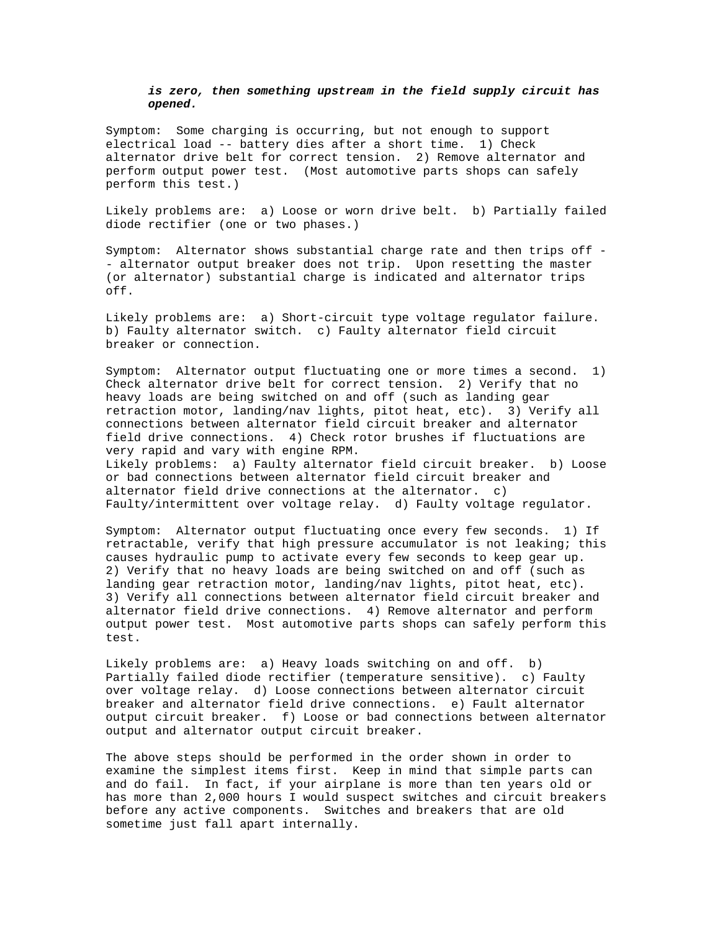## *is zero, then something upstream in the field supply circuit has opened.*

Symptom: Some charging is occurring, but not enough to support electrical load -- battery dies after a short time. 1) Check alternator drive belt for correct tension. 2) Remove alternator and perform output power test. (Most automotive parts shops can safely perform this test.)

Likely problems are: a) Loose or worn drive belt. b) Partially failed diode rectifier (one or two phases.)

Symptom: Alternator shows substantial charge rate and then trips off - - alternator output breaker does not trip. Upon resetting the master (or alternator) substantial charge is indicated and alternator trips off.

Likely problems are: a) Short-circuit type voltage regulator failure. b) Faulty alternator switch. c) Faulty alternator field circuit breaker or connection.

Symptom: Alternator output fluctuating one or more times a second. 1) Check alternator drive belt for correct tension. 2) Verify that no heavy loads are being switched on and off (such as landing gear retraction motor, landing/nav lights, pitot heat, etc). 3) Verify all connections between alternator field circuit breaker and alternator field drive connections. 4) Check rotor brushes if fluctuations are very rapid and vary with engine RPM. Likely problems: a) Faulty alternator field circuit breaker. b) Loose or bad connections between alternator field circuit breaker and alternator field drive connections at the alternator. c) Faulty/intermittent over voltage relay. d) Faulty voltage regulator.

Symptom: Alternator output fluctuating once every few seconds. 1) If retractable, verify that high pressure accumulator is not leaking; this causes hydraulic pump to activate every few seconds to keep gear up. 2) Verify that no heavy loads are being switched on and off (such as landing gear retraction motor, landing/nav lights, pitot heat, etc). 3) Verify all connections between alternator field circuit breaker and alternator field drive connections. 4) Remove alternator and perform output power test. Most automotive parts shops can safely perform this test.

Likely problems are: a) Heavy loads switching on and off. b) Partially failed diode rectifier (temperature sensitive). c) Faulty over voltage relay. d) Loose connections between alternator circuit breaker and alternator field drive connections. e) Fault alternator output circuit breaker. f) Loose or bad connections between alternator output and alternator output circuit breaker.

The above steps should be performed in the order shown in order to examine the simplest items first. Keep in mind that simple parts can and do fail. In fact, if your airplane is more than ten years old or has more than 2,000 hours I would suspect switches and circuit breakers before any active components. Switches and breakers that are old sometime just fall apart internally.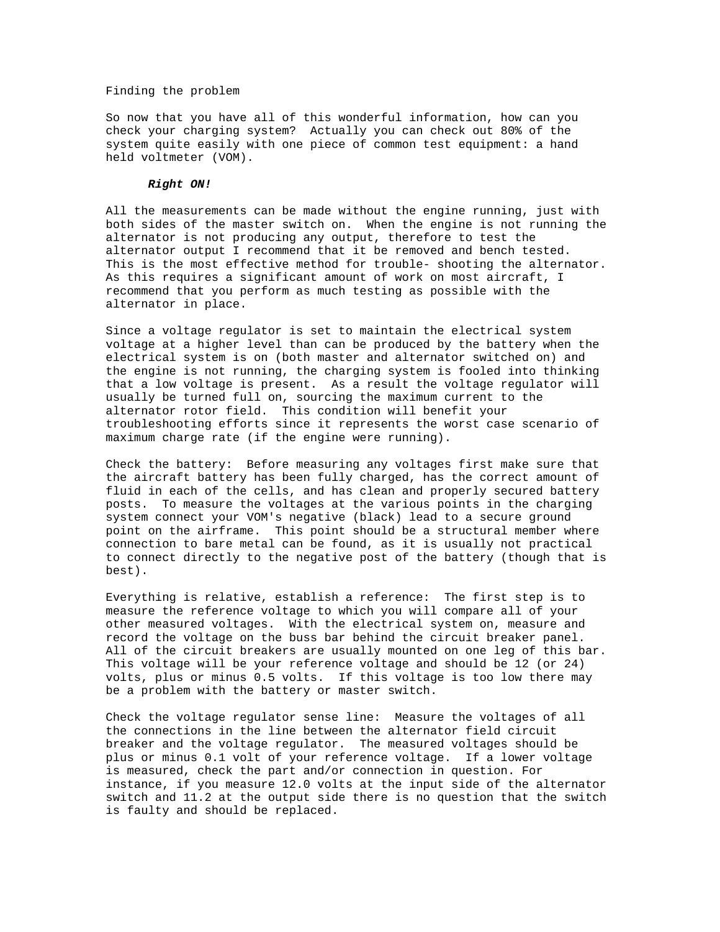### Finding the problem

So now that you have all of this wonderful information, how can you check your charging system? Actually you can check out 80% of the system quite easily with one piece of common test equipment: a hand held voltmeter (VOM).

### *Right ON!*

All the measurements can be made without the engine running, just with both sides of the master switch on. When the engine is not running the alternator is not producing any output, therefore to test the alternator output I recommend that it be removed and bench tested. This is the most effective method for trouble- shooting the alternator. As this requires a significant amount of work on most aircraft, I recommend that you perform as much testing as possible with the alternator in place.

Since a voltage regulator is set to maintain the electrical system voltage at a higher level than can be produced by the battery when the electrical system is on (both master and alternator switched on) and the engine is not running, the charging system is fooled into thinking that a low voltage is present. As a result the voltage regulator will usually be turned full on, sourcing the maximum current to the alternator rotor field. This condition will benefit your troubleshooting efforts since it represents the worst case scenario of maximum charge rate (if the engine were running).

Check the battery: Before measuring any voltages first make sure that the aircraft battery has been fully charged, has the correct amount of fluid in each of the cells, and has clean and properly secured battery posts. To measure the voltages at the various points in the charging system connect your VOM's negative (black) lead to a secure ground point on the airframe. This point should be a structural member where connection to bare metal can be found, as it is usually not practical to connect directly to the negative post of the battery (though that is best).

Everything is relative, establish a reference: The first step is to measure the reference voltage to which you will compare all of your other measured voltages. With the electrical system on, measure and record the voltage on the buss bar behind the circuit breaker panel. All of the circuit breakers are usually mounted on one leg of this bar. This voltage will be your reference voltage and should be 12 (or 24) volts, plus or minus 0.5 volts. If this voltage is too low there may be a problem with the battery or master switch.

Check the voltage regulator sense line: Measure the voltages of all the connections in the line between the alternator field circuit breaker and the voltage regulator. The measured voltages should be plus or minus 0.1 volt of your reference voltage. If a lower voltage is measured, check the part and/or connection in question. For instance, if you measure 12.0 volts at the input side of the alternator switch and 11.2 at the output side there is no question that the switch is faulty and should be replaced.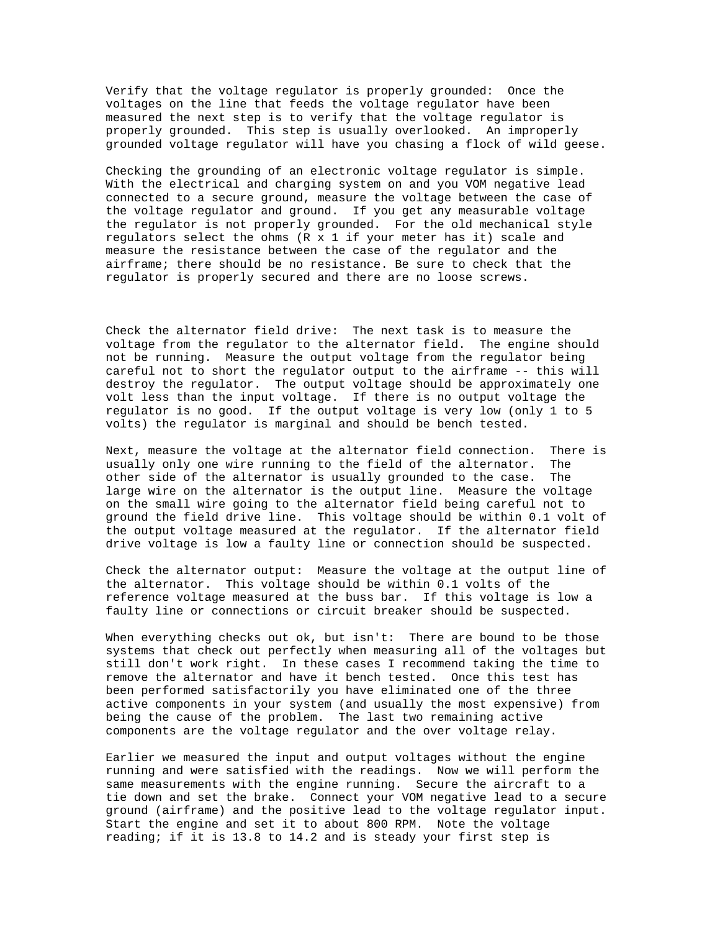Verify that the voltage regulator is properly grounded: Once the voltages on the line that feeds the voltage regulator have been measured the next step is to verify that the voltage regulator is properly grounded. This step is usually overlooked. An improperly grounded voltage regulator will have you chasing a flock of wild geese.

Checking the grounding of an electronic voltage regulator is simple. With the electrical and charging system on and you VOM negative lead connected to a secure ground, measure the voltage between the case of the voltage regulator and ground. If you get any measurable voltage the regulator is not properly grounded. For the old mechanical style regulators select the ohms  $(R \times 1$  if your meter has it) scale and measure the resistance between the case of the regulator and the airframe; there should be no resistance. Be sure to check that the regulator is properly secured and there are no loose screws.

Check the alternator field drive: The next task is to measure the voltage from the regulator to the alternator field. The engine should not be running. Measure the output voltage from the regulator being careful not to short the regulator output to the airframe -- this will destroy the regulator. The output voltage should be approximately one volt less than the input voltage. If there is no output voltage the regulator is no good. If the output voltage is very low (only 1 to 5 volts) the regulator is marginal and should be bench tested.

Next, measure the voltage at the alternator field connection. There is usually only one wire running to the field of the alternator. The other side of the alternator is usually grounded to the case. The large wire on the alternator is the output line. Measure the voltage on the small wire going to the alternator field being careful not to ground the field drive line. This voltage should be within 0.1 volt of the output voltage measured at the regulator. If the alternator field drive voltage is low a faulty line or connection should be suspected.

Check the alternator output: Measure the voltage at the output line of the alternator. This voltage should be within 0.1 volts of the reference voltage measured at the buss bar. If this voltage is low a faulty line or connections or circuit breaker should be suspected.

When everything checks out ok, but isn't: There are bound to be those systems that check out perfectly when measuring all of the voltages but still don't work right. In these cases I recommend taking the time to remove the alternator and have it bench tested. Once this test has been performed satisfactorily you have eliminated one of the three active components in your system (and usually the most expensive) from being the cause of the problem. The last two remaining active components are the voltage regulator and the over voltage relay.

Earlier we measured the input and output voltages without the engine running and were satisfied with the readings. Now we will perform the same measurements with the engine running. Secure the aircraft to a tie down and set the brake. Connect your VOM negative lead to a secure ground (airframe) and the positive lead to the voltage regulator input. Start the engine and set it to about 800 RPM. Note the voltage reading; if it is 13.8 to 14.2 and is steady your first step is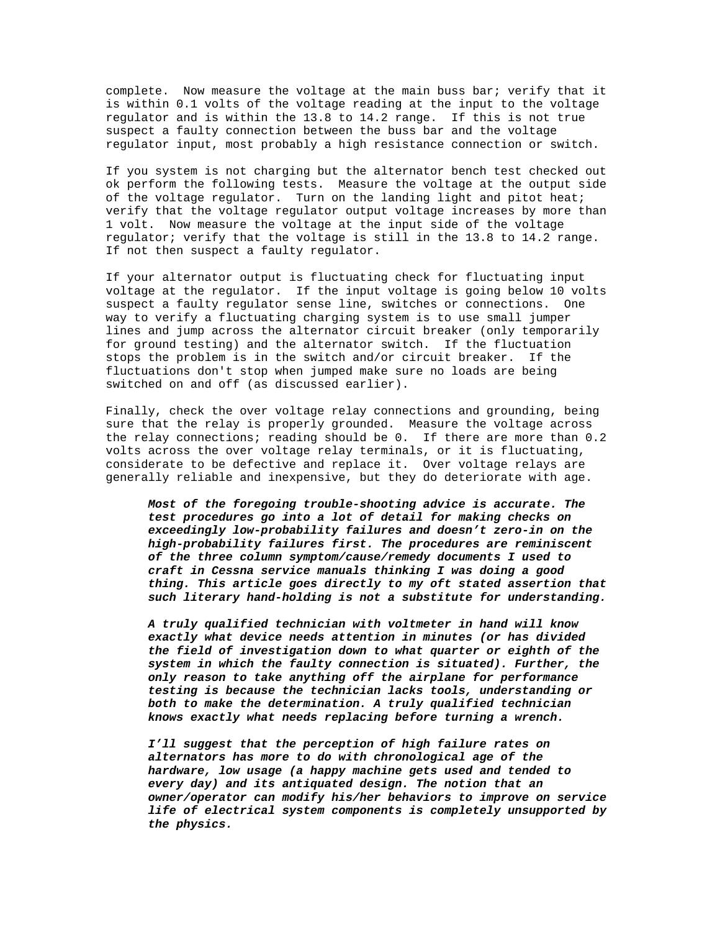complete. Now measure the voltage at the main buss bar; verify that it is within 0.1 volts of the voltage reading at the input to the voltage regulator and is within the 13.8 to 14.2 range. If this is not true suspect a faulty connection between the buss bar and the voltage regulator input, most probably a high resistance connection or switch.

If you system is not charging but the alternator bench test checked out ok perform the following tests. Measure the voltage at the output side of the voltage regulator. Turn on the landing light and pitot heat; verify that the voltage regulator output voltage increases by more than 1 volt. Now measure the voltage at the input side of the voltage regulator; verify that the voltage is still in the 13.8 to 14.2 range. If not then suspect a faulty regulator.

If your alternator output is fluctuating check for fluctuating input voltage at the regulator. If the input voltage is going below 10 volts suspect a faulty regulator sense line, switches or connections. One way to verify a fluctuating charging system is to use small jumper lines and jump across the alternator circuit breaker (only temporarily for ground testing) and the alternator switch. If the fluctuation stops the problem is in the switch and/or circuit breaker. If the fluctuations don't stop when jumped make sure no loads are being switched on and off (as discussed earlier).

Finally, check the over voltage relay connections and grounding, being sure that the relay is properly grounded. Measure the voltage across the relay connections; reading should be 0. If there are more than 0.2 volts across the over voltage relay terminals, or it is fluctuating, considerate to be defective and replace it. Over voltage relays are generally reliable and inexpensive, but they do deteriorate with age.

*Most of the foregoing trouble-shooting advice is accurate. The test procedures go into a lot of detail for making checks on exceedingly low-probability failures and doesn't zero-in on the high-probability failures first. The procedures are reminiscent of the three column symptom/cause/remedy documents I used to craft in Cessna service manuals thinking I was doing a good thing. This article goes directly to my oft stated assertion that such literary hand-holding is not a substitute for understanding.*

*A truly qualified technician with voltmeter in hand will know exactly what device needs attention in minutes (or has divided the field of investigation down to what quarter or eighth of the system in which the faulty connection is situated). Further, the only reason to take anything off the airplane for performance testing is because the technician lacks tools, understanding or both to make the determination. A truly qualified technician knows exactly what needs replacing before turning a wrench.*

*I'll suggest that the perception of high failure rates on alternators has more to do with chronological age of the hardware, low usage (a happy machine gets used and tended to every day) and its antiquated design. The notion that an owner/operator can modify his/her behaviors to improve on service life of electrical system components is completely unsupported by the physics.*